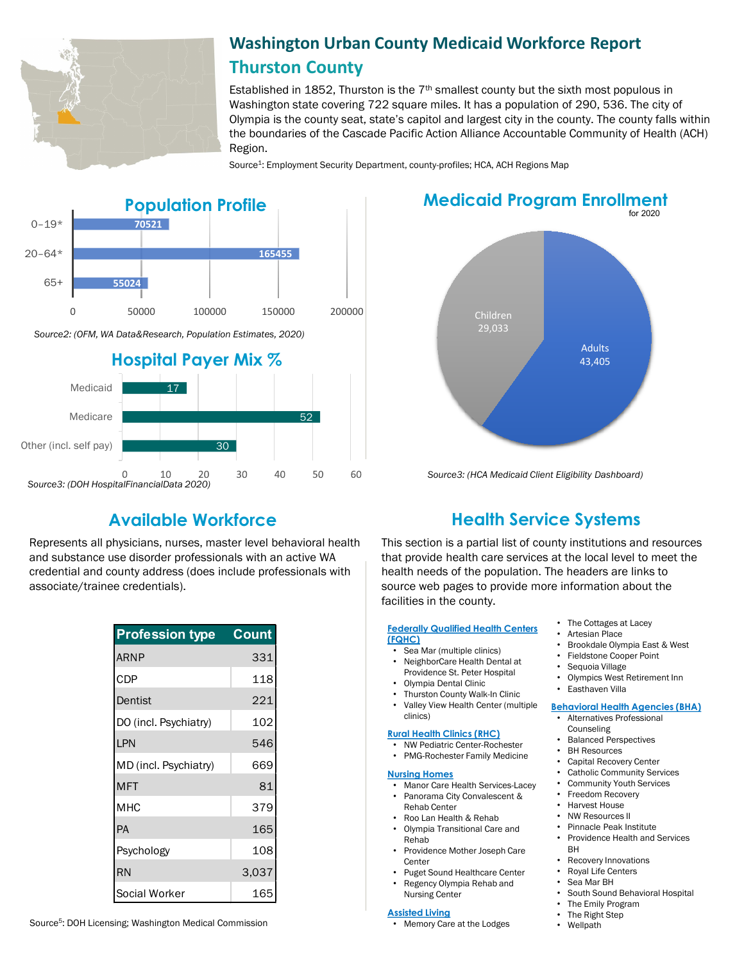

## **Washington Urban County Medicaid Workforce Report Thurston County**

Established in 1852, Thurston is the  $7<sup>th</sup>$  smallest county but the sixth most populous in Washington state covering 722 square miles. It has a population of 290, 536. The city of Olympia is the county seat, state's capitol and largest city in the county. The county falls within the boundaries of the Cascade Pacific Action Alliance Accountable Community of Health (ACH) Region.

Source<sup>1</sup>: Employment Security Department, county-profiles; HCA, ACH Regions Map



Represents all physicians, nurses, master level behavioral health and substance use disorder professionals with an active WA credential and county address (does include professionals with associate/trainee credentials).

| <b>Profession type</b> | <b>Count</b> |
|------------------------|--------------|
| <b>ARNP</b>            | 331          |
| CDP                    | 118          |
| Dentist                | 221          |
| DO (incl. Psychiatry)  | 102          |
| LPN                    | 546          |
| MD (incl. Psychiatry)  | 669          |
| <b>MFT</b>             | 81           |
| <b>MHC</b>             | 379          |
| PA                     | 165          |
| Psychology             | 108          |
| <b>RN</b>              | 3,037        |
| Social Worker          | 165          |

# Adults 43,405 Children 29,033 for 2020 **Medicaid Program Enrollment**



*Source3: (HCA Medicaid Client Eligibility Dashboard)*

## **Available Workforce Health Service Systems**

This section is a partial list of county institutions and resources that provide health care services at the local level to meet the health needs of the population. The headers are links to source web pages to provide more information about the facilities in the county.

#### **[Federally Qualified Health Centers](https://www.google.com/search?ei=we6tXdvZDZbD0PEPrty0yAE&q=what+is+a+health+service+systems&oq=what+is+a+health+service+systems&gs_l=psy-ab.3...73883.75212..75689...0.2..0.67.521.10......0....1..gws-wiz.......0i71j0i13j0i8i7i30j0i13i30j0i13i5i30j0i8i13i30j0i8i30.JaVGckKGx3E&ved=0ahUKEwibvu-C9K3lAhWWITQIHS4uDRkQ4dUDCAo&uact=5#spf=1571680014088)  (FQHC)**

- Sea Mar (multiple clinics)
- NeighborCare Health Dental at Providence St. Peter Hospital
- Olympia Dental Clinic
- Thurston County Walk-In Clinic • Valley View Health Center (multiple
- clinics)

#### **[Rural Health Clinics \(RHC\)](https://data.hrsa.gov/)**

- NW Pediatric Center-Rochester
- PMG-Rochester Family Medicine

#### **[Nursing Homes](https://fortress.wa.gov/dshs/adsaapps/lookup/NHPubLookup.aspx)**

- Manor Care Health Services-Lacey • Panorama City Convalescent & Rehab Center
- Roo Lan Health & Rehab
- Olympia Transitional Care and Rehab
- Providence Mother Joseph Care **Center**
- Puget Sound Healthcare Center
- Regency Olympia Rehab and Nursing Center

#### **[Assisted Living](https://fortress.wa.gov/dshs/adsaapps/lookup/BHPubLookup.aspx)**

- The Cottages at Lacey • Artesian Place
- Brookdale Olympia East & West
- Fieldstone Cooper Point
- Sequoia Village
- Olympics West Retirement Inn
- Easthaven Villa

#### **[Behavioral Health Agencies \(BHA\)](https://www.doh.wa.gov/LicensesPermitsandCertificates/ProviderCredentialSearch)**

- Alternatives Professional Counseling
- Balanced Perspectives
- BH Resources
- Capital Recovery Center
- Catholic Community Services
- Community Youth Services
- Freedom Recovery • Harvest House
- 
- NW Resources II
- Pinnacle Peak Institute • Providence Health and Services
- BH
- Recovery Innovations
- Royal Life Centers
- Sea Mar BH
	-
	- South Sound Behavioral Hospital
	- The Emily Program • The Right Step
	- Wellpath